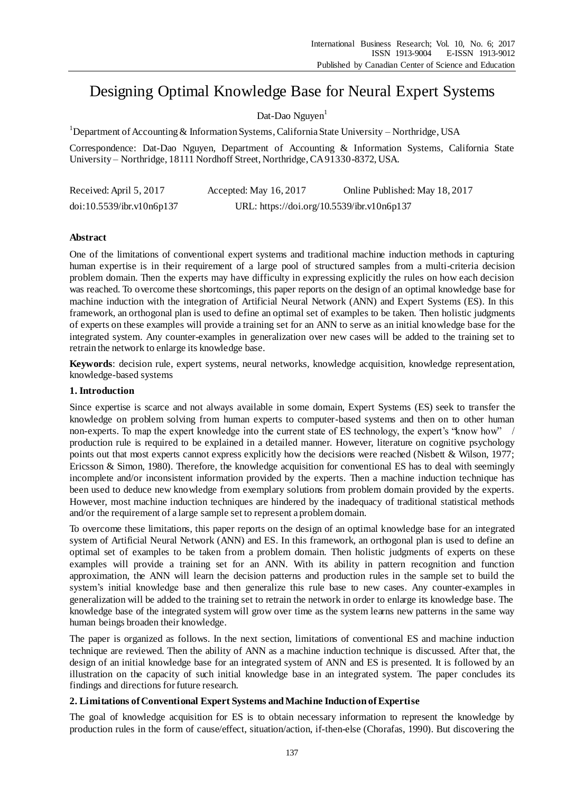# Designing Optimal Knowledge Base for Neural Expert Systems

Dat-Dao Nguyen $<sup>1</sup>$ </sup>

<sup>1</sup>Department of Accounting & Information Systems, California State University – Northridge, USA

Correspondence: Dat-Dao Nguyen, Department of Accounting & Information Systems, California State University – Northridge, 18111 Nordhoff Street, Northridge, CA 91330-8372, USA.

| Received: April 5, 2017   | Accepted: May 16, 2017                     | Online Published: May 18, 2017 |
|---------------------------|--------------------------------------------|--------------------------------|
| doi:10.5539/ibr.v10n6p137 | URL: https://doi.org/10.5539/ibr.v10n6p137 |                                |

## **Abstract**

One of the limitations of conventional expert systems and traditional machine induction methods in capturing human expertise is in their requirement of a large pool of structured samples from a multi-criteria decision problem domain. Then the experts may have difficulty in expressing explicitly the rules on how each decision was reached. To overcome these shortcomings, this paper reports on the design of an optimal knowledge base for machine induction with the integration of Artificial Neural Network (ANN) and Expert Systems (ES). In this framework, an orthogonal plan is used to define an optimal set of examples to be taken. Then holistic judgments of experts on these examples will provide a training set for an ANN to serve as an initial knowledge base for the integrated system. Any counter-examples in generalization over new cases will be added to the training set to retrain the network to enlarge its knowledge base.

**Keywords**: decision rule, expert systems, neural networks, knowledge acquisition, knowledge representation, knowledge-based systems

## **1. Introduction**

Since expertise is scarce and not always available in some domain, Expert Systems (ES) seek to transfer the knowledge on problem solving from human experts to computer-based systems and then on to other human non-experts. To map the expert knowledge into the current state of ES technology, the expert's "know how" / production rule is required to be explained in a detailed manner. However, literature on cognitive psychology points out that most experts cannot express explicitly how the decisions were reached (Nisbett & Wilson, 1977; Ericsson & Simon, 1980). Therefore, the knowledge acquisition for conventional ES has to deal with seemingly incomplete and/or inconsistent information provided by the experts. Then a machine induction technique has been used to deduce new knowledge from exemplary solutions from problem domain provided by the experts. However, most machine induction techniques are hindered by the inadequacy of traditional statistical methods and/or the requirement of a large sample set to represent a problem domain.

To overcome these limitations, this paper reports on the design of an optimal knowledge base for an integrated system of Artificial Neural Network (ANN) and ES. In this framework, an orthogonal plan is used to define an optimal set of examples to be taken from a problem domain. Then holistic judgments of experts on these examples will provide a training set for an ANN. With its ability in pattern recognition and function approximation, the ANN will learn the decision patterns and production rules in the sample set to build the system's initial knowledge base and then generalize this rule base to new cases. Any counter-examples in generalization will be added to the training set to retrain the network in order to enlarge its knowledge base. The knowledge base of the integrated system will grow over time as the system learns new patterns in the same way human beings broaden their knowledge.

The paper is organized as follows. In the next section, limitations of conventional ES and machine induction technique are reviewed. Then the ability of ANN as a machine induction technique is discussed. After that, the design of an initial knowledge base for an integrated system of ANN and ES is presented. It is followed by an illustration on the capacity of such initial knowledge base in an integrated system. The paper concludes its findings and directions for future research.

## **2. Limitations of Conventional Expert Systems and Machine Induction of Expertise**

The goal of knowledge acquisition for ES is to obtain necessary information to represent the knowledge by production rules in the form of cause/effect, situation/action, if-then-else (Chorafas, 1990). But discovering the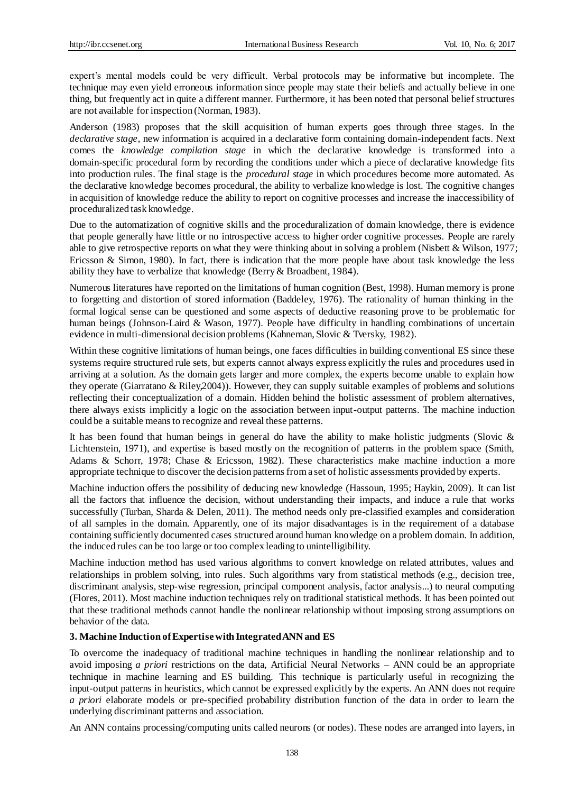expert's mental models could be very difficult. Verbal protocols may be informative but incomplete. The technique may even yield erroneous information since people may state their beliefs and actually believe in one thing, but frequently act in quite a different manner. Furthermore, it has been noted that personal belief structures are not available for inspection (Norman, 1983).

Anderson (1983) proposes that the skill acquisition of human experts goes through three stages. In the *declarative stage*, new information is acquired in a declarative form containing domain-independent facts. Next comes the *knowledge compilation stage* in which the declarative knowledge is transformed into a domain-specific procedural form by recording the conditions under which a piece of declarative knowledge fits into production rules. The final stage is the *procedural stage* in which procedures become more automated. As the declarative knowledge becomes procedural, the ability to verbalize knowledge is lost. The cognitive changes in acquisition of knowledge reduce the ability to report on cognitive processes and increase the inaccessibility of proceduralized task knowledge.

Due to the automatization of cognitive skills and the proceduralization of domain knowledge, there is evidence that people generally have little or no introspective access to higher order cognitive processes. People are rarely able to give retrospective reports on what they were thinking about in solving a problem (Nisbett & Wilson, 1977; Ericsson & Simon, 1980). In fact, there is indication that the more people have about task knowledge the less ability they have to verbalize that knowledge (Berry & Broadbent, 1984).

Numerous literatures have reported on the limitations of human cognition (Best, 1998). Human memory is prone to forgetting and distortion of stored information (Baddeley, 1976). The rationality of human thinking in the formal logical sense can be questioned and some aspects of deductive reasoning prove to be problematic for human beings (Johnson-Laird & Wason, 1977). People have difficulty in handling combinations of uncertain evidence in multi-dimensional decision problems (Kahneman, Slovic & Tversky, 1982).

Within these cognitive limitations of human beings, one faces difficulties in building conventional ES since these systems require structured rule sets, but experts cannot always express explicitly the rules and procedures used in arriving at a solution. As the domain gets larger and more complex, the experts become unable to explain how they operate (Giarratano & Riley,2004)). However, they can supply suitable examples of problems and solutions reflecting their conceptualization of a domain. Hidden behind the holistic assessment of problem alternatives, there always exists implicitly a logic on the association between input-output patterns. The machine induction could be a suitable means to recognize and reveal these patterns.

It has been found that human beings in general do have the ability to make holistic judgments (Slovic & Lichtenstein, 1971), and expertise is based mostly on the recognition of patterns in the problem space (Smith, Adams & Schorr, 1978; Chase & Ericsson, 1982). These characteristics make machine induction a more appropriate technique to discover the decision patterns from a set of holistic assessments provided by experts.

Machine induction offers the possibility of deducing new knowledge (Hassoun, 1995; Haykin, 2009). It can list all the factors that influence the decision, without understanding their impacts, and induce a rule that works successfully (Turban, Sharda & Delen, 2011). The method needs only pre-classified examples and consideration of all samples in the domain. Apparently, one of its major disadvantages is in the requirement of a database containing sufficiently documented cases structured around human knowledge on a problem domain. In addition, the induced rules can be too large or too complex leading to unintelligibility.

Machine induction method has used various algorithms to convert knowledge on related attributes, values and relationships in problem solving, into rules. Such algorithms vary from statistical methods (e.g., decision tree, discriminant analysis, step-wise regression, principal component analysis, factor analysis...) to neural computing (Flores, 2011). Most machine induction techniques rely on traditional statistical methods. It has been pointed out that these traditional methods cannot handle the nonlinear relationship without imposing strong assumptions on behavior of the data.

## **3. Machine Induction of Expertise with Integrated ANN and ES**

To overcome the inadequacy of traditional machine techniques in handling the nonlinear relationship and to avoid imposing *a priori* restrictions on the data, Artificial Neural Networks – ANN could be an appropriate technique in machine learning and ES building. This technique is particularly useful in recognizing the input-output patterns in heuristics, which cannot be expressed explicitly by the experts. An ANN does not require *a priori* elaborate models or pre-specified probability distribution function of the data in order to learn the underlying discriminant patterns and association.

An ANN contains processing/computing units called neurons (or nodes). These nodes are arranged into layers, in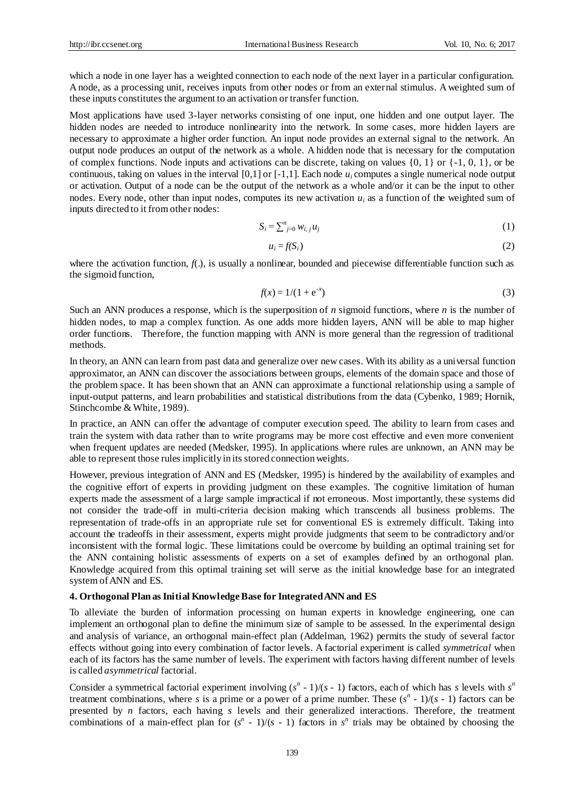which a node in one layer has a weighted connection to each node of the next layer in a particular configuration. A node, as a processing unit, receives inputs from other nodes or from an external stimulus. A weighted sum of these inputs constitutes the argument to an activation or transfer function.

Most applications have used 3-layer networks consisting of one input, one hidden and one output layer. The hidden nodes are needed to introduce nonlinearity into the network. In some cases, more hidden layers are necessary to approximate a higher order function. An input node provides an external signal to the network. An output node produces an output of the network as a whole. A hidden node that is necessary for the computation of complex functions. Node inputs and activations can be discrete, taking on values  $\{0, 1\}$  or  $\{-1, 0, 1\}$ , or be continuous, taking on values in the interval  $[0,1]$  or  $[-1,1]$ . Each node  $u_i$  computes a single numerical node output or activation. Output of a node can be the output of the network as a whole and/or it can be the input to other nodes. Every node, other than input nodes, computes its new activation *u<sup>i</sup>* as a function of the weighted sum of inputs directed to it from other nodes:

$$
S_i = \sum_{j=0}^{n} w_{i,j} u_j \tag{1}
$$

$$
u_i = f(S_i) \tag{2}
$$

where the activation function,  $f(.)$ , is usually a nonlinear, bounded and piecewise differentiable function such as the sigmoid function,

$$
f(x) = 1/(1 + e^{-x})
$$
 (3)

Such an ANN produces a response, which is the superposition of *n* sigmoid functions, where *n* is the number of hidden nodes, to map a complex function. As one adds more hidden layers, ANN will be able to map higher order functions. Therefore, the function mapping with ANN is more general than the regression of traditional methods.

In theory, an ANN can learn from past data and generalize over new cases. With its ability as a universal function approximator, an ANN can discover the associations between groups, elements of the domain space and those of the problem space. It has been shown that an ANN can approximate a functional relationship using a sample of input-output patterns, and learn probabilities and statistical distributions from the data (Cybenko, 1989; Hornik, Stinchcombe & White, 1989).

In practice, an ANN can offer the advantage of computer execution speed. The ability to learn from cases and train the system with data rather than to write programs may be more cost effective and even more convenient when frequent updates are needed (Medsker, 1995). In applications where rules are unknown, an ANN may be able to represent those rules implicitly in its stored connection weights.

However, previous integration of ANN and ES (Medsker, 1995) is hindered by the availability of examples and the cognitive effort of experts in providing judgment on these examples. The cognitive limitation of human experts made the assessment of a large sample impractical if not erroneous. Most importantly, these systems did not consider the trade-off in multi-criteria decision making which transcends all business problems. The representation of trade-offs in an appropriate rule set for conventional ES is extremely difficult. Taking into account the tradeoffs in their assessment, experts might provide judgments that seem to be contradictory and/or inconsistent with the formal logic. These limitations could be overcome by building an optimal training set for the ANN containing holistic assessments of experts on a set of examples defined by an orthogonal plan. Knowledge acquired from this optimal training set will serve as the initial knowledge base for an integrated system of ANN and ES.

#### **4. Orthogonal Plan as Initial Knowledge Base for Integrated ANN and ES**

To alleviate the burden of information processing on human experts in knowledge engineering, one can implement an orthogonal plan to define the minimum size of sample to be assessed. In the experimental design and analysis of variance, an orthogonal main-effect plan (Addelman, 1962) permits the study of several factor effects without going into every combination of factor levels. A factorial experiment is called *symmetrical* when each of its factors has the same number of levels. The experiment with factors having different number of levels is called *asymmetrical* factorial.

Consider a symmetrical factorial experiment involving  $(s<sup>n</sup> - 1)/(s - 1)$  factors, each of which has *s* levels with  $s<sup>n</sup>$ treatment combinations, where *s* is a prime or a power of a prime number. These  $(s<sup>n</sup> - 1)/(s - 1)$  factors can be presented by *n* factors, each having *s* levels and their generalized interactions. Therefore, the treatment combinations of a main-effect plan for  $(s<sup>n</sup> - 1)/(s - 1)$  factors in  $s<sup>n</sup>$  trials may be obtained by choosing the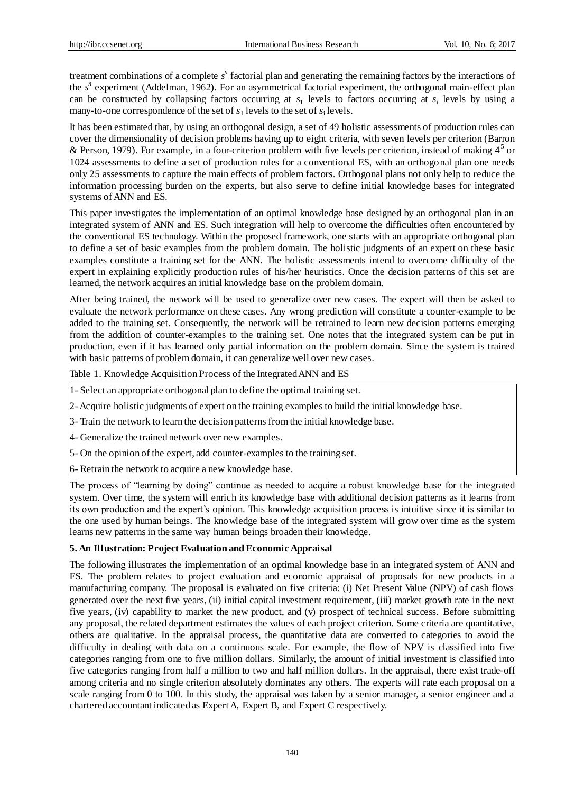treatment combinations of a complete s<sup>n</sup> factorial plan and generating the remaining factors by the interactions of the  $s^n$  experiment (Addelman, 1962). For an asymmetrical factorial experiment, the orthogonal main-effect plan can be constructed by collapsing factors occurring at  $s_1$  levels to factors occurring at  $s_i$  levels by using a many-to-one correspondence of the set of  $s_1$  levels to the set of  $s_i$  levels.

It has been estimated that, by using an orthogonal design, a set of 49 holistic assessments of production rules can cover the dimensionality of decision problems having up to eight criteria, with seven levels per criterion (Barron & Person, 1979). For example, in a four-criterion problem with five levels per criterion, instead of making  $4<sup>5</sup>$  or 1024 assessments to define a set of production rules for a conventional ES, with an orthogonal plan one needs only 25 assessments to capture the main effects of problem factors. Orthogonal plans not only help to reduce the information processing burden on the experts, but also serve to define initial knowledge bases for integrated systems of ANN and ES.

This paper investigates the implementation of an optimal knowledge base designed by an orthogonal plan in an integrated system of ANN and ES. Such integration will help to overcome the difficulties often encountered by the conventional ES technology. Within the proposed framework, one starts with an appropriate orthogonal plan to define a set of basic examples from the problem domain. The holistic judgments of an expert on these basic examples constitute a training set for the ANN. The holistic assessments intend to overcome difficulty of the expert in explaining explicitly production rules of his/her heuristics. Once the decision patterns of this set are learned, the network acquires an initial knowledge base on the problem domain.

After being trained, the network will be used to generalize over new cases. The expert will then be asked to evaluate the network performance on these cases. Any wrong prediction will constitute a counter-example to be added to the training set. Consequently, the network will be retrained to learn new decision patterns emerging from the addition of counter-examples to the training set. One notes that the integrated system can be put in production, even if it has learned only partial information on the problem domain. Since the system is trained with basic patterns of problem domain, it can generalize well over new cases.

Table 1. Knowledge Acquisition Process of the Integrated ANN and ES

- 1- Select an appropriate orthogonal plan to define the optimal training set.
- 2-Acquire holistic judgments of expert on the training examples to build the initial knowledge base.
- 3- Train the network to learn the decision patterns from the initial knowledge base.
- 4- Generalize the trained network over new examples.
- 5- On the opinion of the expert, add counter-examples to the training set.

6- Retrain the network to acquire a new knowledge base.

The process of "learning by doing" continue as needed to acquire a robust knowledge base for the integrated system. Over time, the system will enrich its knowledge base with additional decision patterns as it learns from its own production and the expert's opinion. This knowledge acquisition process is intuitive since it is similar to the one used by human beings. The knowledge base of the integrated system will grow over time as the system learns new patterns in the same way human beings broaden their knowledge.

## **5. An Illustration: Project Evaluation and Economic Appraisal**

The following illustrates the implementation of an optimal knowledge base in an integrated system of ANN and ES. The problem relates to project evaluation and economic appraisal of proposals for new products in a manufacturing company. The proposal is evaluated on five criteria: (i) Net Present Value (NPV) of cash flows generated over the next five years, (ii) initial capital investment requirement, (iii) market growth rate in the next five years, (iv) capability to market the new product, and (v) prospect of technical success. Before submitting any proposal, the related department estimates the values of each project criterion. Some criteria are quantitative, others are qualitative. In the appraisal process, the quantitative data are converted to categories to avoid the difficulty in dealing with data on a continuous scale. For example, the flow of NPV is classified into five categories ranging from one to five million dollars. Similarly, the amount of initial investment is classified into five categories ranging from half a million to two and half million dollars. In the appraisal, there exist trade-off among criteria and no single criterion absolutely dominates any others. The experts will rate each proposal on a scale ranging from 0 to 100. In this study, the appraisal was taken by a senior manager, a senior engineer and a chartered accountant indicated as Expert A, Expert B, and Expert C respectively.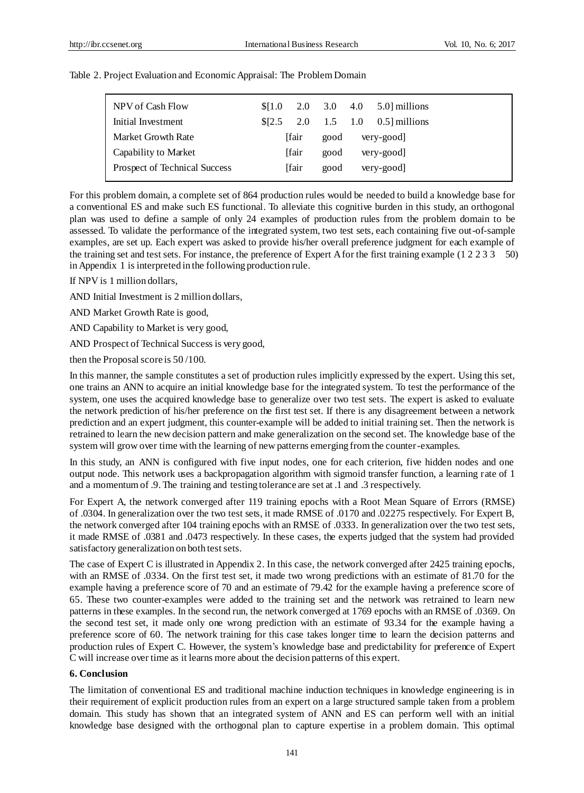| NPV of Cash Flow              | \$11.0 |              | 2.0 3.0 4.0 | 5.0 millions             |
|-------------------------------|--------|--------------|-------------|--------------------------|
| Initial Investment            | \$I2.5 |              |             | 2.0 1.5 1.0 0.5 millions |
| Market Growth Rate            |        | <b>fair</b>  | good        | very-good                |
| Capability to Market          |        | <b>fair</b>  | good        | very-good                |
| Prospect of Technical Success |        | <b>Ifair</b> | good        | very-good                |
|                               |        |              |             |                          |

Table 2. Project Evaluation and Economic Appraisal: The Problem Domain

For this problem domain, a complete set of 864 production rules would be needed to build a knowledge base for a conventional ES and make such ES functional. To alleviate this cognitive burden in this study, an orthogonal plan was used to define a sample of only 24 examples of production rules from the problem domain to be assessed. To validate the performance of the integrated system, two test sets, each containing five out-of-sample examples, are set up. Each expert was asked to provide his/her overall preference judgment for each example of the training set and test sets. For instance, the preference of Expert A for the first training example (1 2 2 3 3 50) in Appendix 1 is interpreted in the following production rule.

If NPV is 1 million dollars,

AND Initial Investment is 2 million dollars,

AND Market Growth Rate is good,

AND Capability to Market is very good,

AND Prospect of Technical Success is very good,

then the Proposal score is 50 /100.

In this manner, the sample constitutes a set of production rules implicitly expressed by the expert. Using this set, one trains an ANN to acquire an initial knowledge base for the integrated system. To test the performance of the system, one uses the acquired knowledge base to generalize over two test sets. The expert is asked to evaluate the network prediction of his/her preference on the first test set. If there is any disagreement between a network prediction and an expert judgment, this counter-example will be added to initial training set. Then the network is retrained to learn the new decision pattern and make generalization on the second set. The knowledge base of the system will grow over time with the learning of new patterns emerging from the counter-examples.

In this study, an ANN is configured with five input nodes, one for each criterion, five hidden nodes and one output node. This network uses a backpropagation algorithm with sigmoid transfer function, a learning rate of 1 and a momentum of .9. The training and testing tolerance are set at .1 and .3 respectively.

For Expert A, the network converged after 119 training epochs with a Root Mean Square of Errors (RMSE) of .0304. In generalization over the two test sets, it made RMSE of .0170 and .02275 respectively. For Expert B, the network converged after 104 training epochs with an RMSE of .0333. In generalization over the two test sets, it made RMSE of .0381 and .0473 respectively. In these cases, the experts judged that the system had provided satisfactory generalization on both test sets.

The case of Expert C is illustrated in Appendix 2. In this case, the network converged after 2425 training epochs, with an RMSE of .0334. On the first test set, it made two wrong predictions with an estimate of 81.70 for the example having a preference score of 70 and an estimate of 79.42 for the example having a preference score of 65. These two counter-examples were added to the training set and the network was retrained to learn new patterns in these examples. In the second run, the network converged at 1769 epochs with an RMSE of .0369. On the second test set, it made only one wrong prediction with an estimate of 93.34 for the example having a preference score of 60. The network training for this case takes longer time to learn the decision patterns and production rules of Expert C. However, the system's knowledge base and predictability for preference of Expert C will increase over time as it learns more about the decision patterns of this expert.

#### **6. Conclusion**

The limitation of conventional ES and traditional machine induction techniques in knowledge engineering is in their requirement of explicit production rules from an expert on a large structured sample taken from a problem domain. This study has shown that an integrated system of ANN and ES can perform well with an initial knowledge base designed with the orthogonal plan to capture expertise in a problem domain. This optimal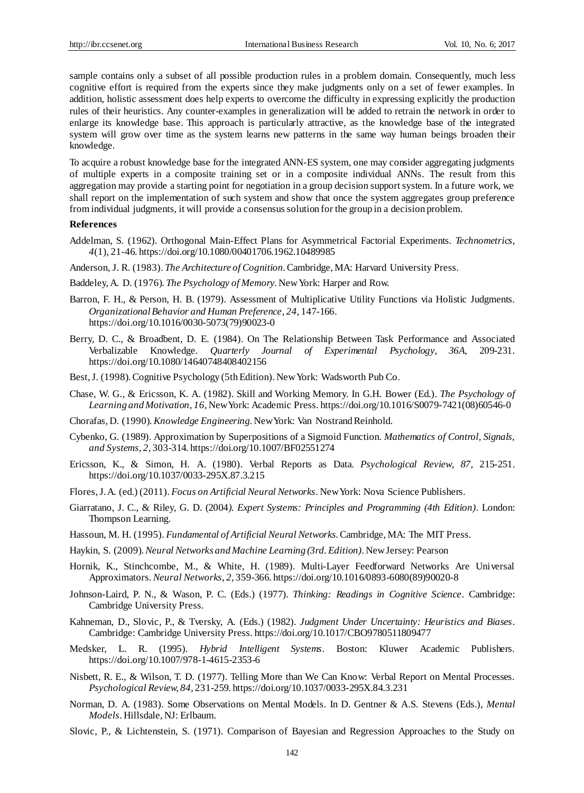sample contains only a subset of all possible production rules in a problem domain. Consequently, much less cognitive effort is required from the experts since they make judgments only on a set of fewer examples. In addition, holistic assessment does help experts to overcome the difficulty in expressing explicitly the production rules of their heuristics. Any counter-examples in generalization will be added to retrain the network in order to enlarge its knowledge base. This approach is particularly attractive, as the knowledge base of the integrated system will grow over time as the system learns new patterns in the same way human beings broaden their knowledge.

To acquire a robust knowledge base for the integrated ANN-ES system, one may consider aggregating judgments of multiple experts in a composite training set or in a composite individual ANNs. The result from this aggregation may provide a starting point for negotiation in a group decision support system. In a future work, we shall report on the implementation of such system and show that once the system aggregates group preference from individual judgments, it will provide a consensus solution for the group in a decision problem.

#### **References**

- Addelman, S. (1962). Orthogonal Main-Effect Plans for Asymmetrical Factorial Experiments. *Technometrics*, *4*(1), 21-46. https://doi.org/10.1080/00401706.1962.10489985
- Anderson, J. R. (1983). *The Architecture of Cognition*. Cambridge, MA: Harvard University Press.
- Baddeley, A. D. (1976). *The Psychology of Memory*. New York: Harper and Row.
- Barron, F. H., & Person, H. B. (1979). Assessment of Multiplicative Utility Functions via Holistic Judgments. *Organizational Behavior and Human Preference, 24,* 147-166. https://doi.org/10.1016/0030-5073(79)90023-0
- Berry, D. C., & Broadbent, D. E. (1984). On The Relationship Between Task Performance and Associated Verbalizable Knowledge. *Quarterly Journal of Experimental Psychology, 36A,* 209-231. https://doi.org/10.1080/14640748408402156
- Best,J. (1998). Cognitive Psychology (5th Edition). New York: Wadsworth Pub Co.
- Chase, W. G., & Ericsson, K. A. (1982). Skill and Working Memory. In G.H. Bower (Ed.). *The Psychology of Learning and Motivation*, *16,* New York: Academic Press. https://doi.org/10.1016/S0079-7421(08)60546-0
- Chorafas, D. (1990). *Knowledge Engineering*. New York: Van Nostrand Reinhold.
- Cybenko, G. (1989). Approximation by Superpositions of a Sigmoid Function. *Mathematics of Control, Signals, and Systems, 2,* 303-314. https://doi.org/10.1007/BF02551274
- Ericsson, K., & Simon, H. A. (1980). Verbal Reports as Data. *Psychological Review, 87,* 215-251. https://doi.org/10.1037/0033-295X.87.3.215
- Flores,J.A. (ed.) (2011). *Focus on Artificial Neural Networks*. New York: Nova Science Publishers.
- Giarratano, J. C., & Riley, G. D. (2004*). Expert Systems: Principles and Programming (4th Edition)*. London: Thompson Learning.
- Hassoun, M. H. (1995). *Fundamental of Artificial Neural Networks*. Cambridge, MA: The MIT Press.
- Haykin, S. (2009).*Neural Networks and Machine Learning (3rd. Edition)*. New Jersey: Pearson
- Hornik, K., Stinchcombe, M., & White, H. (1989). Multi-Layer Feedforward Networks Are Universal Approximators. *Neural Networks*, *2,* 359-366. https://doi.org/10.1016/0893-6080(89)90020-8
- Johnson-Laird, P. N., & Wason, P. C. (Eds.) (1977). *Thinking: Readings in Cognitive Science*. Cambridge: Cambridge University Press.
- Kahneman, D., Slovic, P., & Tversky, A. (Eds.) (1982). *Judgment Under Uncertainty: Heuristics and Biases*. Cambridge: Cambridge University Press. https://doi.org/10.1017/CBO9780511809477
- Medsker, L. R. (1995). *Hybrid Intelligent Systems*. Boston: Kluwer Academic Publishers. https://doi.org/10.1007/978-1-4615-2353-6
- Nisbett, R. E., & Wilson, T. D. (1977). Telling More than We Can Know: Verbal Report on Mental Processes. *Psychological Review, 84,* 231-259. https://doi.org/10.1037/0033-295X.84.3.231
- Norman, D. A. (1983). Some Observations on Mental Models. In D. Gentner & A.S. Stevens (Eds.), *Mental Models*. Hillsdale, NJ: Erlbaum.
- Slovic, P., & Lichtenstein, S. (1971). Comparison of Bayesian and Regression Approaches to the Study on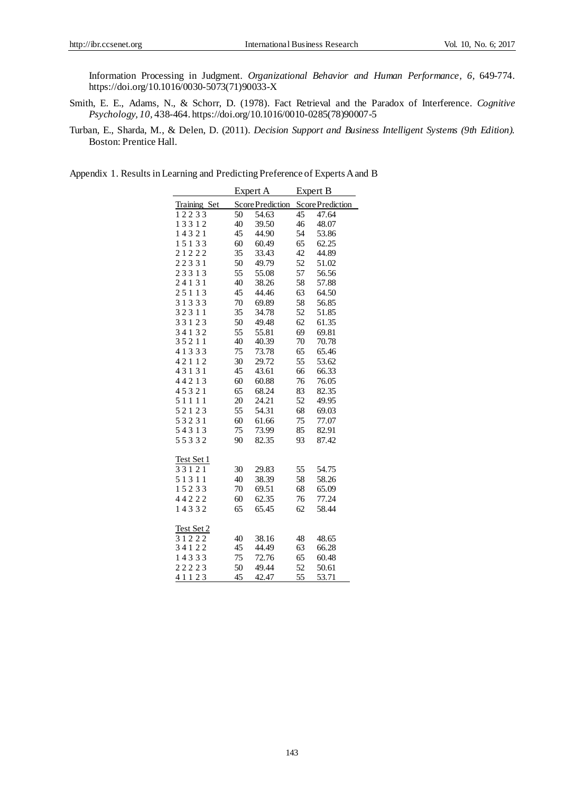Information Processing in Judgment. *Organizational Behavior and Human Performance, 6,* 649-774. https://doi.org/10.1016/0030-5073(71)90033-X

- Smith, E. E., Adams, N., & Schorr, D. (1978). Fact Retrieval and the Paradox of Interference. *Cognitive Psychology, 10,* 438-464. https://doi.org/10.1016/0010-0285(78)90007-5
- Turban, E., Sharda, M., & Delen, D. (2011). *Decision Support and Business Intelligent Systems (9th Edition).*  Boston: Prentice Hall.

Appendix 1. Results in Learning and Predicting Preference of Experts A and B

|              |    | Expert A         |    | Expert B         |  |  |
|--------------|----|------------------|----|------------------|--|--|
| Training Set |    | Score Prediction |    | Score Prediction |  |  |
| 12233        | 50 | 54.63            | 45 | 47.64            |  |  |
| 13312        | 40 | 39.50            | 46 | 48.07            |  |  |
| 14321        | 45 | 44.90            | 54 | 53.86            |  |  |
| 15133        | 60 | 60.49            | 65 | 62.25            |  |  |
| 21222        | 35 | 33.43            | 42 | 44.89            |  |  |
| 22331        | 50 | 49.79            | 52 | 51.02            |  |  |
| 23313        | 55 | 55.08            | 57 | 56.56            |  |  |
| 24131        | 40 | 38.26            | 58 | 57.88            |  |  |
| 25113        | 45 | 44.46            | 63 | 64.50            |  |  |
| 31333        | 70 | 69.89            | 58 | 56.85            |  |  |
| 32311        | 35 | 34.78            | 52 | 51.85            |  |  |
| 33123        | 50 | 49.48            | 62 | 61.35            |  |  |
| 34132        | 55 | 55.81            | 69 | 69.81            |  |  |
| 35211        | 40 | 40.39            | 70 | 70.78            |  |  |
| 41333        | 75 | 73.78            | 65 | 65.46            |  |  |
| 42112        | 30 | 29.72            | 55 | 53.62            |  |  |
| 43131        | 45 | 43.61            | 66 | 66.33            |  |  |
| 44213        | 60 | 60.88            | 76 | 76.05            |  |  |
| 45321        | 65 | 68.24            | 83 | 82.35            |  |  |
| 51111        | 20 | 24.21            | 52 | 49.95            |  |  |
| 52123        | 55 | 54.31            | 68 | 69.03            |  |  |
| 53231        | 60 | 61.66            | 75 | 77.07            |  |  |
| 54313        | 75 | 73.99            | 85 | 82.91            |  |  |
| 55332        | 90 | 82.35            | 93 | 87.42            |  |  |
| Test Set 1   |    |                  |    |                  |  |  |
| 33121        | 30 | 29.83            | 55 | 54.75            |  |  |
| 51311        | 40 | 38.39            | 58 | 58.26            |  |  |
| 15233        | 70 | 69.51            | 68 | 65.09            |  |  |
| 44222        | 60 | 62.35            | 76 | 77.24            |  |  |
| 14332        | 65 | 65.45            | 62 | 58.44            |  |  |
|              |    |                  |    |                  |  |  |
| Test Set 2   |    |                  |    |                  |  |  |
| 31222        | 40 | 38.16            | 48 | 48.65            |  |  |
| 34122        | 45 | 44.49            | 63 | 66.28            |  |  |
| 14333        | 75 | 72.76            | 65 | 60.48            |  |  |
| 22223        | 50 | 49.44            | 52 | 50.61            |  |  |
| 41123        | 45 | 42.47            | 55 | 53.71            |  |  |